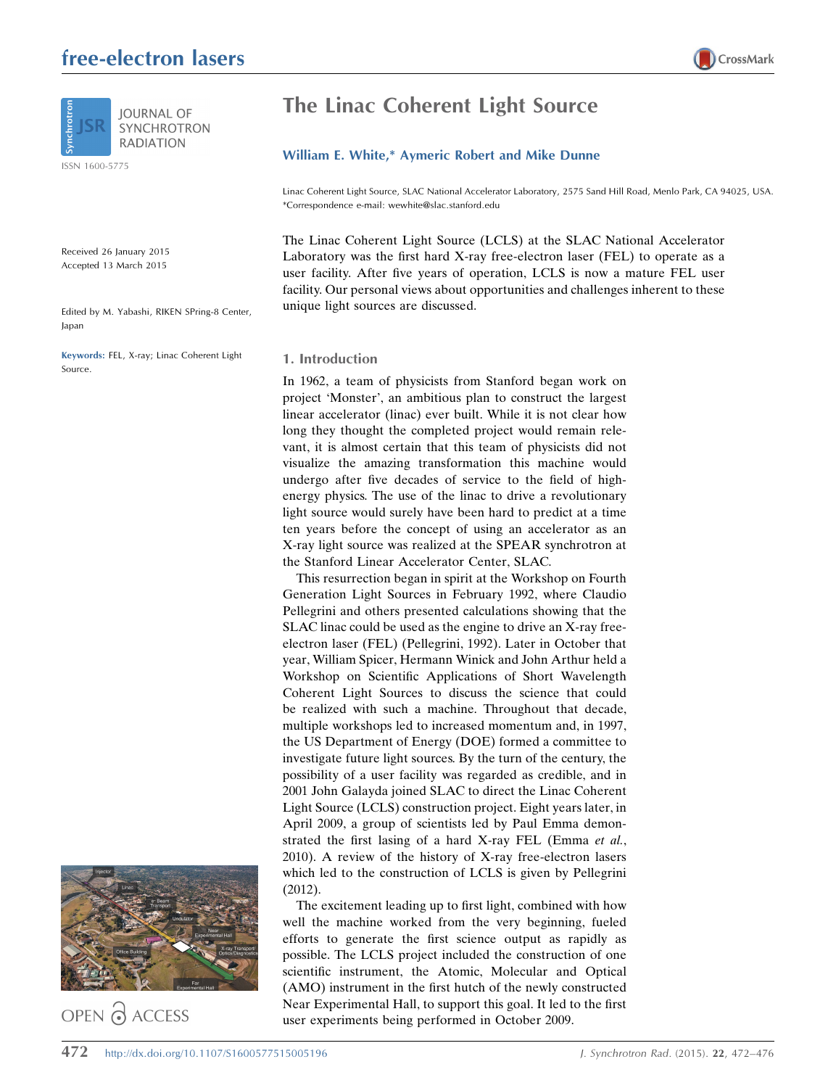# free-electron lasers





ISSN 1600-5775

Received 26 January 2015 Accepted 13 March 2015

Edited by M. Yabashi, RIKEN SPring-8 Center, Japan

Keywords: FEL, X-ray; Linac Coherent Light Source.



OPEN & ACCESS

# The Linac Coherent Light Source

## William E. White,\* Aymeric Robert and Mike Dunne

Linac Coherent Light Source, SLAC National Accelerator Laboratory, 2575 Sand Hill Road, Menlo Park, CA 94025, USA. \*Correspondence e-mail: wewhite@slac.stanford.edu

The Linac Coherent Light Source (LCLS) at the SLAC National Accelerator Laboratory was the first hard X-ray free-electron laser (FEL) to operate as a user facility. After five years of operation, LCLS is now a mature FEL user facility. Our personal views about opportunities and challenges inherent to these unique light sources are discussed.

### 1. Introduction

In 1962, a team of physicists from Stanford began work on project 'Monster', an ambitious plan to construct the largest linear accelerator (linac) ever built. While it is not clear how long they thought the completed project would remain relevant, it is almost certain that this team of physicists did not visualize the amazing transformation this machine would undergo after five decades of service to the field of highenergy physics. The use of the linac to drive a revolutionary light source would surely have been hard to predict at a time ten years before the concept of using an accelerator as an X-ray light source was realized at the SPEAR synchrotron at the Stanford Linear Accelerator Center, SLAC.

This resurrection began in spirit at the Workshop on Fourth Generation Light Sources in February 1992, where Claudio Pellegrini and others presented calculations showing that the SLAC linac could be used as the engine to drive an X-ray freeelectron laser (FEL) (Pellegrini, 1992). Later in October that year, William Spicer, Hermann Winick and John Arthur held a Workshop on Scientific Applications of Short Wavelength Coherent Light Sources to discuss the science that could be realized with such a machine. Throughout that decade, multiple workshops led to increased momentum and, in 1997, the US Department of Energy (DOE) formed a committee to investigate future light sources. By the turn of the century, the possibility of a user facility was regarded as credible, and in 2001 John Galayda joined SLAC to direct the Linac Coherent Light Source (LCLS) construction project. Eight years later, in April 2009, a group of scientists led by Paul Emma demonstrated the first lasing of a hard X-ray FEL (Emma et al., 2010). A review of the history of X-ray free-electron lasers which led to the construction of LCLS is given by Pellegrini (2012).

The excitement leading up to first light, combined with how well the machine worked from the very beginning, fueled efforts to generate the first science output as rapidly as possible. The LCLS project included the construction of one scientific instrument, the Atomic, Molecular and Optical (AMO) instrument in the first hutch of the newly constructed Near Experimental Hall, to support this goal. It led to the first user experiments being performed in October 2009.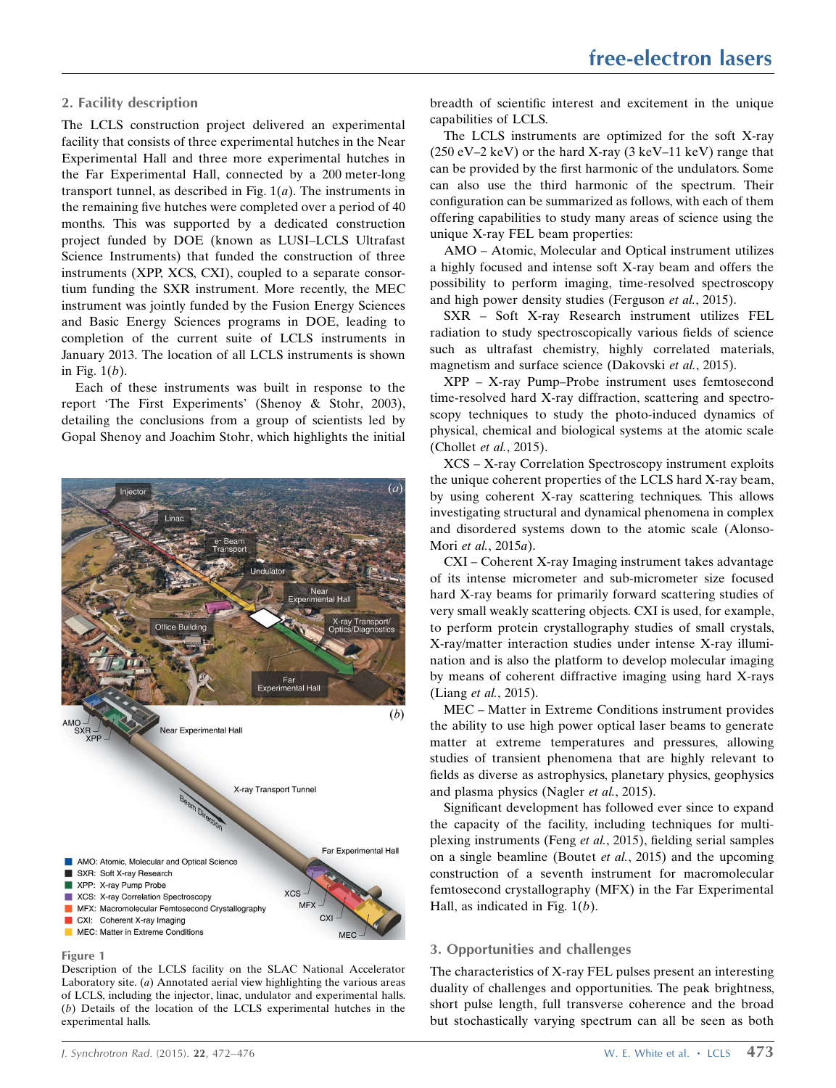## 2. Facility description

The LCLS construction project delivered an experimental facility that consists of three experimental hutches in the Near Experimental Hall and three more experimental hutches in the Far Experimental Hall, connected by a 200 meter-long transport tunnel, as described in Fig.  $1(a)$ . The instruments in the remaining five hutches were completed over a period of 40 months. This was supported by a dedicated construction project funded by DOE (known as LUSI–LCLS Ultrafast Science Instruments) that funded the construction of three instruments (XPP, XCS, CXI), coupled to a separate consortium funding the SXR instrument. More recently, the MEC instrument was jointly funded by the Fusion Energy Sciences and Basic Energy Sciences programs in DOE, leading to completion of the current suite of LCLS instruments in January 2013. The location of all LCLS instruments is shown in Fig.  $1(b)$ .

Each of these instruments was built in response to the report 'The First Experiments' (Shenoy & Stohr, 2003), detailing the conclusions from a group of scientists led by Gopal Shenoy and Joachim Stohr, which highlights the initial



Figure 1

Description of the LCLS facility on the SLAC National Accelerator Laboratory site.  $(a)$  Annotated aerial view highlighting the various areas of LCLS, including the injector, linac, undulator and experimental halls. (b) Details of the location of the LCLS experimental hutches in the experimental halls.

breadth of scientific interest and excitement in the unique capabilities of LCLS.

The LCLS instruments are optimized for the soft X-ray  $(250 \text{ eV} - 2 \text{ keV})$  or the hard X-ray  $(3 \text{ keV} - 11 \text{ keV})$  range that can be provided by the first harmonic of the undulators. Some can also use the third harmonic of the spectrum. Their configuration can be summarized as follows, with each of them offering capabilities to study many areas of science using the unique X-ray FEL beam properties:

AMO – Atomic, Molecular and Optical instrument utilizes a highly focused and intense soft X-ray beam and offers the possibility to perform imaging, time-resolved spectroscopy and high power density studies (Ferguson et al., 2015).

SXR – Soft X-ray Research instrument utilizes FEL radiation to study spectroscopically various fields of science such as ultrafast chemistry, highly correlated materials, magnetism and surface science (Dakovski et al., 2015).

XPP – X-ray Pump–Probe instrument uses femtosecond time-resolved hard X-ray diffraction, scattering and spectroscopy techniques to study the photo-induced dynamics of physical, chemical and biological systems at the atomic scale (Chollet et al., 2015).

XCS – X-ray Correlation Spectroscopy instrument exploits the unique coherent properties of the LCLS hard X-ray beam, by using coherent X-ray scattering techniques. This allows investigating structural and dynamical phenomena in complex and disordered systems down to the atomic scale (Alonso-Mori et al., 2015a).

CXI – Coherent X-ray Imaging instrument takes advantage of its intense micrometer and sub-micrometer size focused hard X-ray beams for primarily forward scattering studies of very small weakly scattering objects. CXI is used, for example, to perform protein crystallography studies of small crystals, X-ray/matter interaction studies under intense X-ray illumination and is also the platform to develop molecular imaging by means of coherent diffractive imaging using hard X-rays (Liang et al., 2015).

MEC – Matter in Extreme Conditions instrument provides the ability to use high power optical laser beams to generate matter at extreme temperatures and pressures, allowing studies of transient phenomena that are highly relevant to fields as diverse as astrophysics, planetary physics, geophysics and plasma physics (Nagler et al., 2015).

Significant development has followed ever since to expand the capacity of the facility, including techniques for multiplexing instruments (Feng et al., 2015), fielding serial samples on a single beamline (Boutet et al., 2015) and the upcoming construction of a seventh instrument for macromolecular femtosecond crystallography (MFX) in the Far Experimental Hall, as indicated in Fig.  $1(b)$ .

## 3. Opportunities and challenges

The characteristics of X-ray FEL pulses present an interesting duality of challenges and opportunities. The peak brightness, short pulse length, full transverse coherence and the broad but stochastically varying spectrum can all be seen as both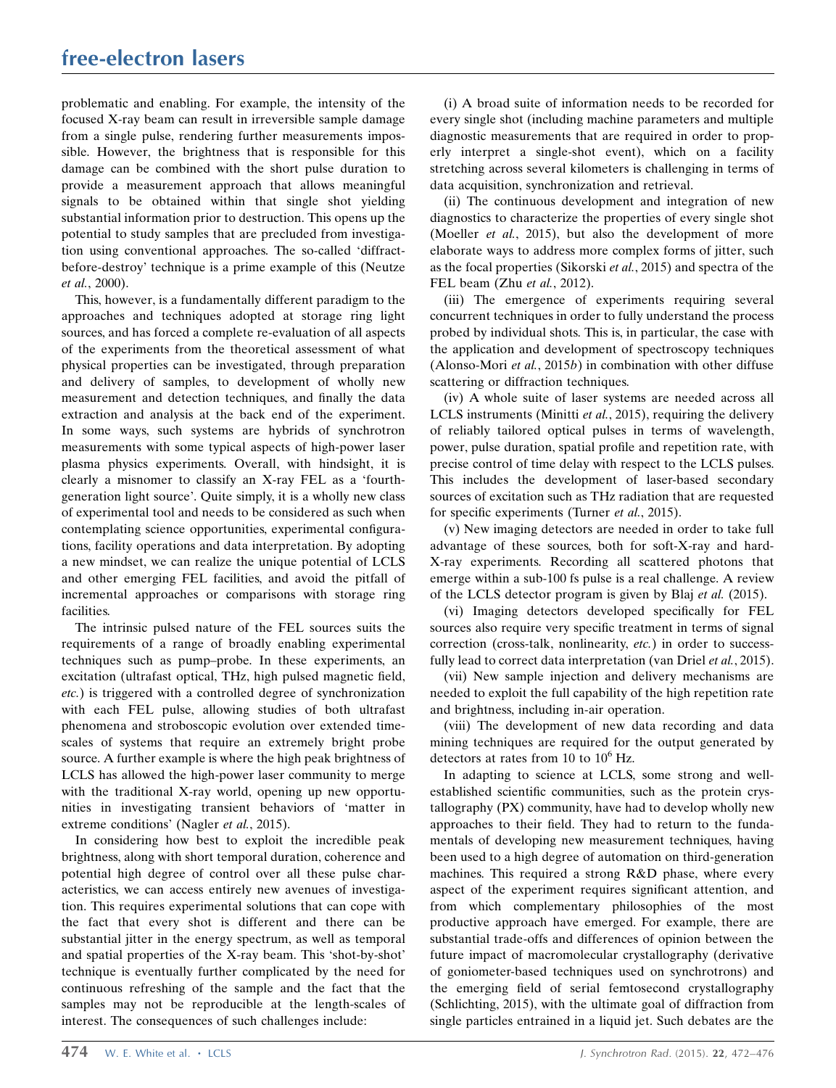## free-electron lasers

problematic and enabling. For example, the intensity of the focused X-ray beam can result in irreversible sample damage from a single pulse, rendering further measurements impossible. However, the brightness that is responsible for this damage can be combined with the short pulse duration to provide a measurement approach that allows meaningful signals to be obtained within that single shot yielding substantial information prior to destruction. This opens up the potential to study samples that are precluded from investigation using conventional approaches. The so-called 'diffractbefore-destroy' technique is a prime example of this (Neutze et al., 2000).

This, however, is a fundamentally different paradigm to the approaches and techniques adopted at storage ring light sources, and has forced a complete re-evaluation of all aspects of the experiments from the theoretical assessment of what physical properties can be investigated, through preparation and delivery of samples, to development of wholly new measurement and detection techniques, and finally the data extraction and analysis at the back end of the experiment. In some ways, such systems are hybrids of synchrotron measurements with some typical aspects of high-power laser plasma physics experiments. Overall, with hindsight, it is clearly a misnomer to classify an X-ray FEL as a 'fourthgeneration light source'. Quite simply, it is a wholly new class of experimental tool and needs to be considered as such when contemplating science opportunities, experimental configurations, facility operations and data interpretation. By adopting a new mindset, we can realize the unique potential of LCLS and other emerging FEL facilities, and avoid the pitfall of incremental approaches or comparisons with storage ring facilities.

The intrinsic pulsed nature of the FEL sources suits the requirements of a range of broadly enabling experimental techniques such as pump–probe. In these experiments, an excitation (ultrafast optical, THz, high pulsed magnetic field, etc.) is triggered with a controlled degree of synchronization with each FEL pulse, allowing studies of both ultrafast phenomena and stroboscopic evolution over extended timescales of systems that require an extremely bright probe source. A further example is where the high peak brightness of LCLS has allowed the high-power laser community to merge with the traditional X-ray world, opening up new opportunities in investigating transient behaviors of 'matter in extreme conditions' (Nagler et al., 2015).

In considering how best to exploit the incredible peak brightness, along with short temporal duration, coherence and potential high degree of control over all these pulse characteristics, we can access entirely new avenues of investigation. This requires experimental solutions that can cope with the fact that every shot is different and there can be substantial jitter in the energy spectrum, as well as temporal and spatial properties of the X-ray beam. This 'shot-by-shot' technique is eventually further complicated by the need for continuous refreshing of the sample and the fact that the samples may not be reproducible at the length-scales of interest. The consequences of such challenges include:

(i) A broad suite of information needs to be recorded for every single shot (including machine parameters and multiple diagnostic measurements that are required in order to properly interpret a single-shot event), which on a facility stretching across several kilometers is challenging in terms of data acquisition, synchronization and retrieval.

(ii) The continuous development and integration of new diagnostics to characterize the properties of every single shot (Moeller *et al.*, 2015), but also the development of more elaborate ways to address more complex forms of jitter, such as the focal properties (Sikorski et al., 2015) and spectra of the FEL beam (Zhu et al., 2012).

(iii) The emergence of experiments requiring several concurrent techniques in order to fully understand the process probed by individual shots. This is, in particular, the case with the application and development of spectroscopy techniques (Alonso-Mori *et al.*, 2015*b*) in combination with other diffuse scattering or diffraction techniques.

(iv) A whole suite of laser systems are needed across all LCLS instruments (Minitti et al., 2015), requiring the delivery of reliably tailored optical pulses in terms of wavelength, power, pulse duration, spatial profile and repetition rate, with precise control of time delay with respect to the LCLS pulses. This includes the development of laser-based secondary sources of excitation such as THz radiation that are requested for specific experiments (Turner et al., 2015).

(v) New imaging detectors are needed in order to take full advantage of these sources, both for soft-X-ray and hard-X-ray experiments. Recording all scattered photons that emerge within a sub-100 fs pulse is a real challenge. A review of the LCLS detector program is given by Blaj et al. (2015).

(vi) Imaging detectors developed specifically for FEL sources also require very specific treatment in terms of signal correction (cross-talk, nonlinearity, etc.) in order to successfully lead to correct data interpretation (van Driel et al., 2015).

(vii) New sample injection and delivery mechanisms are needed to exploit the full capability of the high repetition rate and brightness, including in-air operation.

(viii) The development of new data recording and data mining techniques are required for the output generated by detectors at rates from 10 to  $10^6$  Hz.

In adapting to science at LCLS, some strong and wellestablished scientific communities, such as the protein crystallography (PX) community, have had to develop wholly new approaches to their field. They had to return to the fundamentals of developing new measurement techniques, having been used to a high degree of automation on third-generation machines. This required a strong R&D phase, where every aspect of the experiment requires significant attention, and from which complementary philosophies of the most productive approach have emerged. For example, there are substantial trade-offs and differences of opinion between the future impact of macromolecular crystallography (derivative of goniometer-based techniques used on synchrotrons) and the emerging field of serial femtosecond crystallography (Schlichting, 2015), with the ultimate goal of diffraction from single particles entrained in a liquid jet. Such debates are the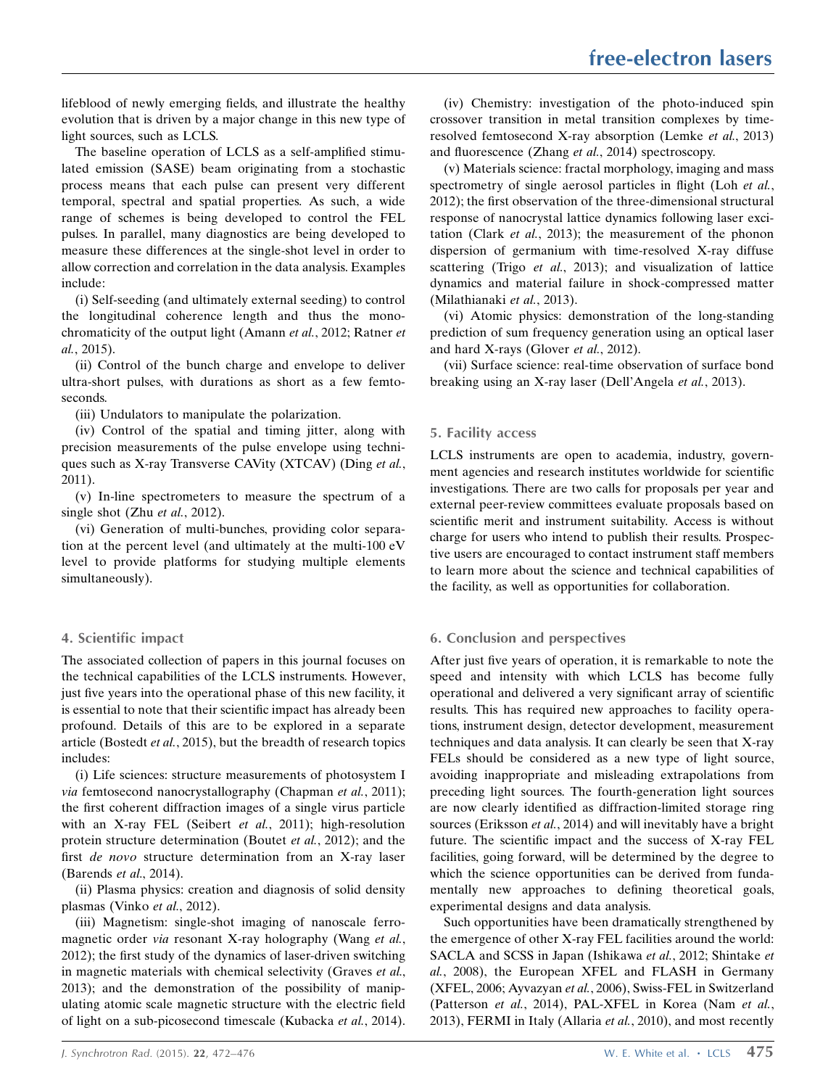lifeblood of newly emerging fields, and illustrate the healthy evolution that is driven by a major change in this new type of light sources, such as LCLS.

The baseline operation of LCLS as a self-amplified stimulated emission (SASE) beam originating from a stochastic process means that each pulse can present very different temporal, spectral and spatial properties. As such, a wide range of schemes is being developed to control the FEL pulses. In parallel, many diagnostics are being developed to measure these differences at the single-shot level in order to allow correction and correlation in the data analysis. Examples include:

(i) Self-seeding (and ultimately external seeding) to control the longitudinal coherence length and thus the monochromaticity of the output light (Amann et al., 2012; Ratner et al., 2015).

(ii) Control of the bunch charge and envelope to deliver ultra-short pulses, with durations as short as a few femtoseconds.

(iii) Undulators to manipulate the polarization.

(iv) Control of the spatial and timing jitter, along with precision measurements of the pulse envelope using techniques such as X-ray Transverse CAVity (XTCAV) (Ding et al., 2011).

(v) In-line spectrometers to measure the spectrum of a single shot (Zhu et al., 2012).

(vi) Generation of multi-bunches, providing color separation at the percent level (and ultimately at the multi-100 eV level to provide platforms for studying multiple elements simultaneously).

## 4. Scientific impact

The associated collection of papers in this journal focuses on the technical capabilities of the LCLS instruments. However, just five years into the operational phase of this new facility, it is essential to note that their scientific impact has already been profound. Details of this are to be explored in a separate article (Bostedt et al., 2015), but the breadth of research topics includes:

(i) Life sciences: structure measurements of photosystem I via femtosecond nanocrystallography (Chapman et al., 2011); the first coherent diffraction images of a single virus particle with an X-ray FEL (Seibert et al., 2011); high-resolution protein structure determination (Boutet et al., 2012); and the first de novo structure determination from an X-ray laser (Barends et al., 2014).

(ii) Plasma physics: creation and diagnosis of solid density plasmas (Vinko et al., 2012).

(iii) Magnetism: single-shot imaging of nanoscale ferromagnetic order via resonant X-ray holography (Wang et al., 2012); the first study of the dynamics of laser-driven switching in magnetic materials with chemical selectivity (Graves et al., 2013); and the demonstration of the possibility of manipulating atomic scale magnetic structure with the electric field of light on a sub-picosecond timescale (Kubacka et al., 2014).

(iv) Chemistry: investigation of the photo-induced spin crossover transition in metal transition complexes by timeresolved femtosecond X-ray absorption (Lemke et al., 2013) and fluorescence (Zhang et al., 2014) spectroscopy.

(v) Materials science: fractal morphology, imaging and mass spectrometry of single aerosol particles in flight (Loh et al., 2012); the first observation of the three-dimensional structural response of nanocrystal lattice dynamics following laser excitation (Clark et al., 2013); the measurement of the phonon dispersion of germanium with time-resolved X-ray diffuse scattering (Trigo et al., 2013); and visualization of lattice dynamics and material failure in shock-compressed matter (Milathianaki et al., 2013).

(vi) Atomic physics: demonstration of the long-standing prediction of sum frequency generation using an optical laser and hard X-rays (Glover et al., 2012).

(vii) Surface science: real-time observation of surface bond breaking using an X-ray laser (Dell'Angela et al., 2013).

## 5. Facility access

LCLS instruments are open to academia, industry, government agencies and research institutes worldwide for scientific investigations. There are two calls for proposals per year and external peer-review committees evaluate proposals based on scientific merit and instrument suitability. Access is without charge for users who intend to publish their results. Prospective users are encouraged to contact instrument staff members to learn more about the science and technical capabilities of the facility, as well as opportunities for collaboration.

## 6. Conclusion and perspectives

After just five years of operation, it is remarkable to note the speed and intensity with which LCLS has become fully operational and delivered a very significant array of scientific results. This has required new approaches to facility operations, instrument design, detector development, measurement techniques and data analysis. It can clearly be seen that X-ray FELs should be considered as a new type of light source, avoiding inappropriate and misleading extrapolations from preceding light sources. The fourth-generation light sources are now clearly identified as diffraction-limited storage ring sources (Eriksson et al., 2014) and will inevitably have a bright future. The scientific impact and the success of X-ray FEL facilities, going forward, will be determined by the degree to which the science opportunities can be derived from fundamentally new approaches to defining theoretical goals, experimental designs and data analysis.

Such opportunities have been dramatically strengthened by the emergence of other X-ray FEL facilities around the world: SACLA and SCSS in Japan (Ishikawa et al., 2012; Shintake et al., 2008), the European XFEL and FLASH in Germany (XFEL, 2006; Ayvazyan et al., 2006), Swiss-FEL in Switzerland (Patterson et al., 2014), PAL-XFEL in Korea (Nam et al., 2013), FERMI in Italy (Allaria et al., 2010), and most recently